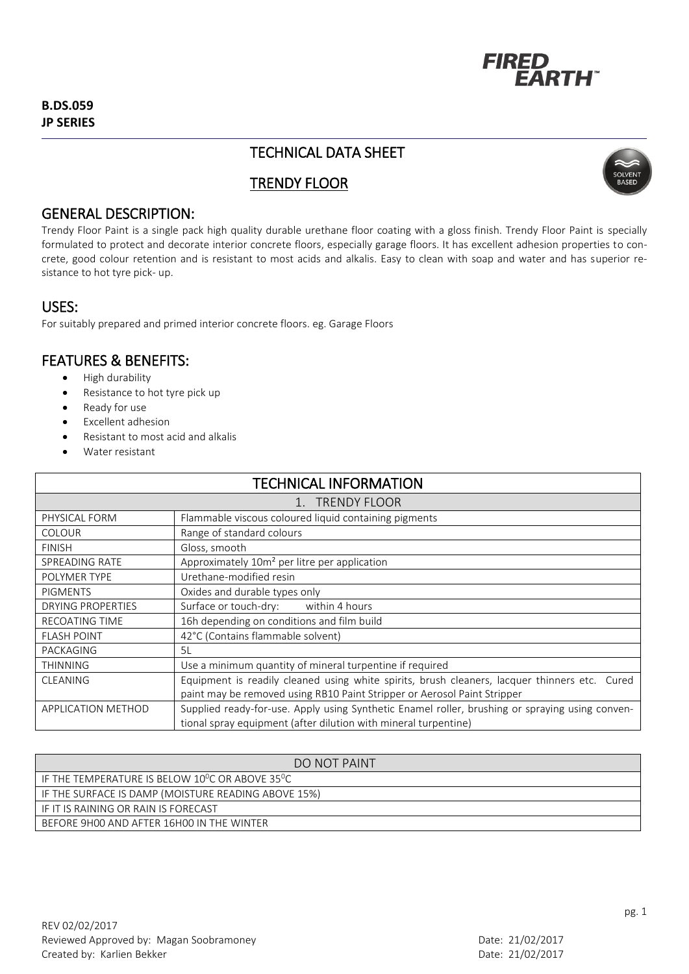

# TECHNICAL DATA SHEET

# TRENDY FLOOR



### GENERAL DESCRIPTION:

Trendy Floor Paint is a single pack high quality durable urethane floor coating with a gloss finish. Trendy Floor Paint is specially formulated to protect and decorate interior concrete floors, especially garage floors. It has excellent adhesion properties to concrete, good colour retention and is resistant to most acids and alkalis. Easy to clean with soap and water and has superior resistance to hot tyre pick- up.

#### USES:

For suitably prepared and primed interior concrete floors. eg. Garage Floors

## FEATURES & BENEFITS:

- High durability
- Resistance to hot tyre pick up
- Ready for use
- Excellent adhesion
- Resistant to most acid and alkalis
- Water resistant

| <b>TECHNICAL INFORMATION</b> |                                                                                                 |
|------------------------------|-------------------------------------------------------------------------------------------------|
| 1. TRENDY FLOOR              |                                                                                                 |
| PHYSICAL FORM                | Flammable viscous coloured liquid containing pigments                                           |
| <b>COLOUR</b>                | Range of standard colours                                                                       |
| <b>FINISH</b>                | Gloss, smooth                                                                                   |
| SPREADING RATE               | Approximately 10m <sup>2</sup> per litre per application                                        |
| POLYMER TYPE                 | Urethane-modified resin                                                                         |
| <b>PIGMENTS</b>              | Oxides and durable types only                                                                   |
| DRYING PROPERTIES            | Surface or touch-dry: within 4 hours                                                            |
| <b>RECOATING TIME</b>        | 16h depending on conditions and film build                                                      |
| <b>FLASH POINT</b>           | 42°C (Contains flammable solvent)                                                               |
| PACKAGING                    | 5L                                                                                              |
| <b>THINNING</b>              | Use a minimum quantity of mineral turpentine if required                                        |
| <b>CLEANING</b>              | Equipment is readily cleaned using white spirits, brush cleaners, lacquer thinners etc. Cured   |
|                              | paint may be removed using RB10 Paint Stripper or Aerosol Paint Stripper                        |
| <b>APPLICATION METHOD</b>    | Supplied ready-for-use. Apply using Synthetic Enamel roller, brushing or spraying using conven- |
|                              | tional spray equipment (after dilution with mineral turpentine)                                 |

| <b>DO NOT PAINT</b>                                                      |
|--------------------------------------------------------------------------|
| IF THE TEMPERATURE IS BELOW 10 <sup>0</sup> C OR ABOVE 35 <sup>0</sup> C |
| IF THE SURFACE IS DAMP (MOISTURE READING ABOVE 15%)                      |
| LIF IT IS RAINING OR RAIN IS FORECAST                                    |
| BEFORE 9H00 AND AFTER 16H00 IN THE WINTER                                |